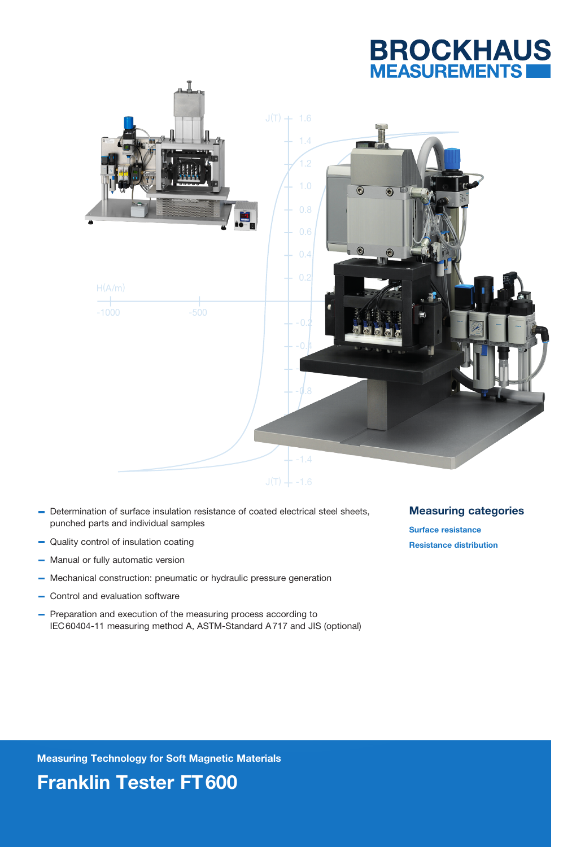



- Determination of surface insulation resistance of coated electrical steel sheets, punched parts and individual samples
- Quality control of insulation coating
- Manual or fully automatic version  $\overline{\phantom{0}}$
- Mechanical construction: pneumatic or hydraulic pressure generation
- Control and evaluation software
- Preparation and execution of the measuring process according to IEC60404-11 measuring method A, ASTM-Standard A717 and JIS (optional)

Measuring categories

Surface resistance Resistance distribution

Measuring Technology for Soft Magnetic Materials

Franklin Tester FT600